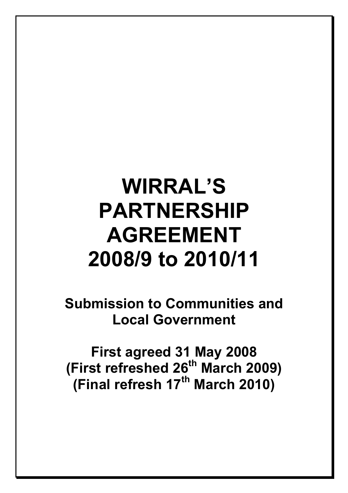# WIRRAL'S PARTNERSHIP AGREEMENT 2008/9 to 2010/11

Submission to Communities and Local Government

First agreed 31 May 2008 (First refreshed 26<sup>th</sup> March 2009) (Final refresh  $17<sup>th</sup>$  March 2010)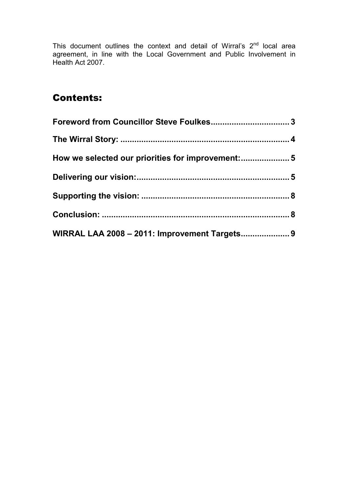This document outlines the context and detail of Wirral's  $2<sup>nd</sup>$  local area agreement, in line with the Local Government and Public Involvement in Health Act 2007.

## Contents:

| How we selected our priorities for improvement: 5 |  |
|---------------------------------------------------|--|
|                                                   |  |
|                                                   |  |
|                                                   |  |
| WIRRAL LAA 2008 - 2011: Improvement Targets 9     |  |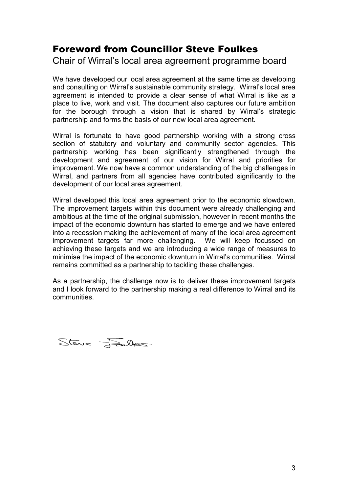## Foreword from Councillor Steve Foulkes

#### Chair of Wirral's local area agreement programme board

We have developed our local area agreement at the same time as developing and consulting on Wirral's sustainable community strategy. Wirral's local area agreement is intended to provide a clear sense of what Wirral is like as a place to live, work and visit. The document also captures our future ambition for the borough through a vision that is shared by Wirral's strategic partnership and forms the basis of our new local area agreement.

Wirral is fortunate to have good partnership working with a strong cross section of statutory and voluntary and community sector agencies. This partnership working has been significantly strengthened through the development and agreement of our vision for Wirral and priorities for improvement. We now have a common understanding of the big challenges in Wirral, and partners from all agencies have contributed significantly to the development of our local area agreement.

Wirral developed this local area agreement prior to the economic slowdown. The improvement targets within this document were already challenging and ambitious at the time of the original submission, however in recent months the impact of the economic downturn has started to emerge and we have entered into a recession making the achievement of many of the local area agreement improvement targets far more challenging. We will keep focussed on achieving these targets and we are introducing a wide range of measures to minimise the impact of the economic downturn in Wirral's communities. Wirral remains committed as a partnership to tackling these challenges.

As a partnership, the challenge now is to deliver these improvement targets and I look forward to the partnership making a real difference to Wirral and its communities.

Steve Failles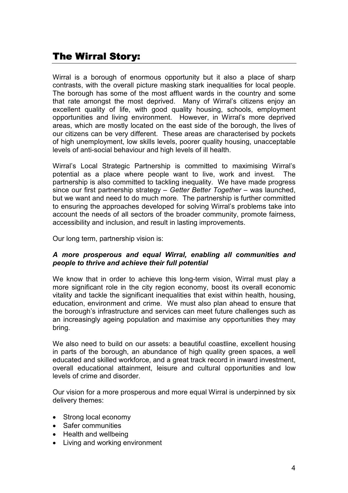### The Wirral Story:

Wirral is a borough of enormous opportunity but it also a place of sharp contrasts, with the overall picture masking stark inequalities for local people. The borough has some of the most affluent wards in the country and some that rate amongst the most deprived. Many of Wirral's citizens enjoy an excellent quality of life, with good quality housing, schools, employment opportunities and living environment. However, in Wirral's more deprived areas, which are mostly located on the east side of the borough, the lives of our citizens can be very different. These areas are characterised by pockets of high unemployment, low skills levels, poorer quality housing, unacceptable levels of anti-social behaviour and high levels of ill health.

Wirral's Local Strategic Partnership is committed to maximising Wirral's potential as a place where people want to live, work and invest. The partnership is also committed to tackling inequality. We have made progress since our first partnership strategy – Getter Better Together – was launched, but we want and need to do much more. The partnership is further committed to ensuring the approaches developed for solving Wirral's problems take into account the needs of all sectors of the broader community, promote fairness, accessibility and inclusion, and result in lasting improvements.

Our long term, partnership vision is:

#### A more prosperous and equal Wirral, enabling all communities and people to thrive and achieve their full potential

We know that in order to achieve this long-term vision, Wirral must play a more significant role in the city region economy, boost its overall economic vitality and tackle the significant inequalities that exist within health, housing, education, environment and crime. We must also plan ahead to ensure that the borough's infrastructure and services can meet future challenges such as an increasingly ageing population and maximise any opportunities they may bring.

We also need to build on our assets: a beautiful coastline, excellent housing in parts of the borough, an abundance of high quality green spaces, a well educated and skilled workforce, and a great track record in inward investment, overall educational attainment, leisure and cultural opportunities and low levels of crime and disorder.

Our vision for a more prosperous and more equal Wirral is underpinned by six delivery themes:

- Strong local economy
- Safer communities
- Health and wellbeing
- Living and working environment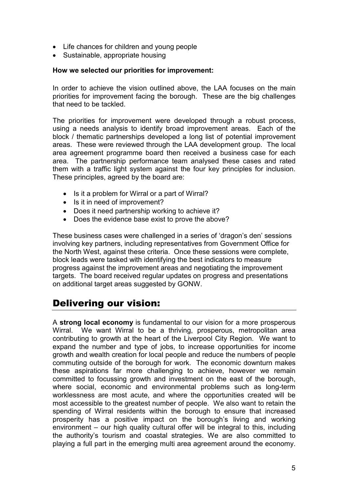- Life chances for children and young people
- Sustainable, appropriate housing

#### How we selected our priorities for improvement:

In order to achieve the vision outlined above, the LAA focuses on the main priorities for improvement facing the borough. These are the big challenges that need to be tackled.

The priorities for improvement were developed through a robust process, using a needs analysis to identify broad improvement areas. Each of the block / thematic partnerships developed a long list of potential improvement areas. These were reviewed through the LAA development group. The local area agreement programme board then received a business case for each area. The partnership performance team analysed these cases and rated them with a traffic light system against the four key principles for inclusion. These principles, agreed by the board are:

- Is it a problem for Wirral or a part of Wirral?
- Is it in need of improvement?
- Does it need partnership working to achieve it?
- Does the evidence base exist to prove the above?

These business cases were challenged in a series of 'dragon's den' sessions involving key partners, including representatives from Government Office for the North West, against these criteria. Once these sessions were complete, block leads were tasked with identifying the best indicators to measure progress against the improvement areas and negotiating the improvement targets. The board received regular updates on progress and presentations on additional target areas suggested by GONW.

### Delivering our vision:

A strong local economy is fundamental to our vision for a more prosperous Wirral. We want Wirral to be a thriving, prosperous, metropolitan area contributing to growth at the heart of the Liverpool City Region. We want to expand the number and type of jobs, to increase opportunities for income growth and wealth creation for local people and reduce the numbers of people commuting outside of the borough for work. The economic downturn makes these aspirations far more challenging to achieve, however we remain committed to focussing growth and investment on the east of the borough, where social, economic and environmental problems such as long-term worklessness are most acute, and where the opportunities created will be most accessible to the greatest number of people. We also want to retain the spending of Wirral residents within the borough to ensure that increased prosperity has a positive impact on the borough's living and working environment – our high quality cultural offer will be integral to this, including the authority's tourism and coastal strategies. We are also committed to playing a full part in the emerging multi area agreement around the economy.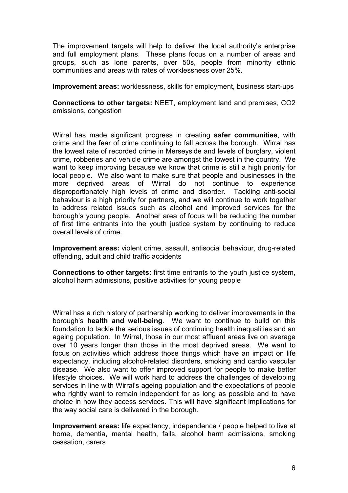The improvement targets will help to deliver the local authority's enterprise and full employment plans. These plans focus on a number of areas and groups, such as lone parents, over 50s, people from minority ethnic communities and areas with rates of worklessness over 25%.

Improvement areas: worklessness, skills for employment, business start-ups

Connections to other targets: NEET, employment land and premises, CO2 emissions, congestion

Wirral has made significant progress in creating safer communities, with crime and the fear of crime continuing to fall across the borough. Wirral has the lowest rate of recorded crime in Merseyside and levels of burglary, violent crime, robberies and vehicle crime are amongst the lowest in the country. We want to keep improving because we know that crime is still a high priority for local people. We also want to make sure that people and businesses in the more deprived areas of Wirral do not continue to experience disproportionately high levels of crime and disorder. Tackling anti-social behaviour is a high priority for partners, and we will continue to work together to address related issues such as alcohol and improved services for the borough's young people. Another area of focus will be reducing the number of first time entrants into the youth justice system by continuing to reduce overall levels of crime.

Improvement areas: violent crime, assault, antisocial behaviour, drug-related offending, adult and child traffic accidents

Connections to other targets: first time entrants to the youth justice system, alcohol harm admissions, positive activities for young people

Wirral has a rich history of partnership working to deliver improvements in the borough's health and well-being. We want to continue to build on this foundation to tackle the serious issues of continuing health inequalities and an ageing population. In Wirral, those in our most affluent areas live on average over 10 years longer than those in the most deprived areas. We want to focus on activities which address those things which have an impact on life expectancy, including alcohol-related disorders, smoking and cardio vascular disease. We also want to offer improved support for people to make better lifestyle choices. We will work hard to address the challenges of developing services in line with Wirral's ageing population and the expectations of people who rightly want to remain independent for as long as possible and to have choice in how they access services. This will have significant implications for the way social care is delivered in the borough.

Improvement areas: life expectancy, independence / people helped to live at home, dementia, mental health, falls, alcohol harm admissions, smoking cessation, carers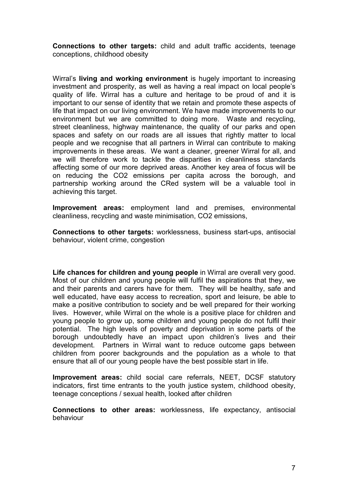Connections to other targets: child and adult traffic accidents, teenage conceptions, childhood obesity

Wirral's living and working environment is hugely important to increasing investment and prosperity, as well as having a real impact on local people's quality of life. Wirral has a culture and heritage to be proud of and it is important to our sense of identity that we retain and promote these aspects of life that impact on our living environment. We have made improvements to our environment but we are committed to doing more. Waste and recycling, street cleanliness, highway maintenance, the quality of our parks and open spaces and safety on our roads are all issues that rightly matter to local people and we recognise that all partners in Wirral can contribute to making improvements in these areas. We want a cleaner, greener Wirral for all, and we will therefore work to tackle the disparities in cleanliness standards affecting some of our more deprived areas. Another key area of focus will be on reducing the CO2 emissions per capita across the borough, and partnership working around the CRed system will be a valuable tool in achieving this target.

Improvement areas: employment land and premises, environmental cleanliness, recycling and waste minimisation, CO2 emissions,

Connections to other targets: worklessness, business start-ups, antisocial behaviour, violent crime, congestion

Life chances for children and young people in Wirral are overall very good. Most of our children and young people will fulfil the aspirations that they, we and their parents and carers have for them. They will be healthy, safe and well educated, have easy access to recreation, sport and leisure, be able to make a positive contribution to society and be well prepared for their working lives. However, while Wirral on the whole is a positive place for children and young people to grow up, some children and young people do not fulfil their potential. The high levels of poverty and deprivation in some parts of the borough undoubtedly have an impact upon children's lives and their development. Partners in Wirral want to reduce outcome gaps between children from poorer backgrounds and the population as a whole to that ensure that all of our young people have the best possible start in life.

Improvement areas: child social care referrals, NEET, DCSF statutory indicators, first time entrants to the youth justice system, childhood obesity, teenage conceptions / sexual health, looked after children

Connections to other areas: worklessness, life expectancy, antisocial behaviour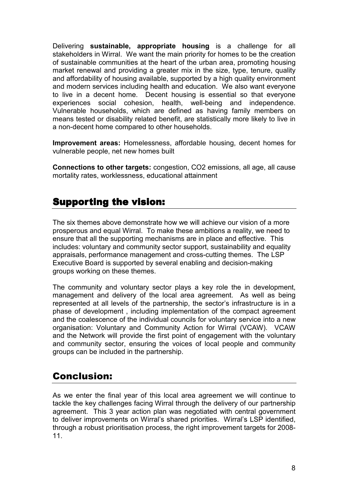Delivering sustainable, appropriate housing is a challenge for all stakeholders in Wirral. We want the main priority for homes to be the creation of sustainable communities at the heart of the urban area, promoting housing market renewal and providing a greater mix in the size, type, tenure, quality and affordability of housing available, supported by a high quality environment and modern services including health and education. We also want everyone to live in a decent home. Decent housing is essential so that everyone experiences social cohesion, health, well-being and independence. Vulnerable households, which are defined as having family members on means tested or disability related benefit, are statistically more likely to live in a non-decent home compared to other households.

Improvement areas: Homelessness, affordable housing, decent homes for vulnerable people, net new homes built

Connections to other targets: congestion, CO2 emissions, all age, all cause mortality rates, worklessness, educational attainment

## Supporting the vision:

The six themes above demonstrate how we will achieve our vision of a more prosperous and equal Wirral. To make these ambitions a reality, we need to ensure that all the supporting mechanisms are in place and effective. This includes: voluntary and community sector support, sustainability and equality appraisals, performance management and cross-cutting themes. The LSP Executive Board is supported by several enabling and decision-making groups working on these themes.

The community and voluntary sector plays a key role the in development, management and delivery of the local area agreement. As well as being represented at all levels of the partnership, the sector's infrastructure is in a phase of development , including implementation of the compact agreement and the coalescence of the individual councils for voluntary service into a new organisation: Voluntary and Community Action for Wirral (VCAW). VCAW and the Network will provide the first point of engagement with the voluntary and community sector, ensuring the voices of local people and community groups can be included in the partnership.

## Conclusion:

As we enter the final year of this local area agreement we will continue to tackle the key challenges facing Wirral through the delivery of our partnership agreement. This 3 year action plan was negotiated with central government to deliver improvements on Wirral's shared priorities. Wirral's LSP identified, through a robust prioritisation process, the right improvement targets for 2008- 11.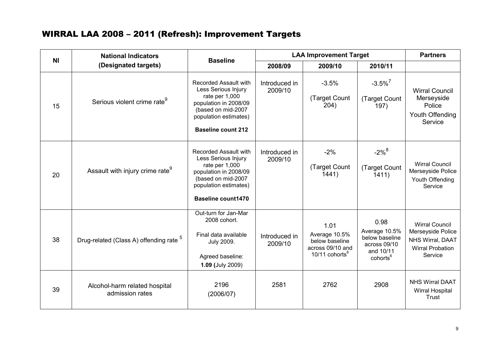#### WIRRAL LAA 2008 – 2011 (Refresh): Improvement Targets

| <b>NI</b> | <b>National Indicators</b>                         | <b>Baseline</b>                                                                                                                                                            |                          | <b>LAA Improvement Target</b>                                                             |                                                                                              |                                                                                                      |
|-----------|----------------------------------------------------|----------------------------------------------------------------------------------------------------------------------------------------------------------------------------|--------------------------|-------------------------------------------------------------------------------------------|----------------------------------------------------------------------------------------------|------------------------------------------------------------------------------------------------------|
|           | (Designated targets)                               |                                                                                                                                                                            | 2008/09                  | 2009/10                                                                                   | 2010/11                                                                                      |                                                                                                      |
| 15        | Serious violent crime rate <sup>9</sup>            | Recorded Assault with<br>Less Serious Injury<br>rate per 1,000<br>population in 2008/09<br>(based on mid-2007<br>population estimates)<br><b>Baseline count 212</b>        | Introduced in<br>2009/10 | $-3.5%$<br>(Target Count<br>204)                                                          | $-3.5\%$ <sup>7</sup><br>(Target Count<br>197)                                               | <b>Wirral Council</b><br>Merseyside<br>Police<br>Youth Offending<br>Service                          |
| 20        | Assault with injury crime rate <sup>9</sup>        | <b>Recorded Assault with</b><br>Less Serious Injury<br>rate per 1,000<br>population in 2008/09<br>(based on mid-2007<br>population estimates)<br><b>Baseline count1470</b> | Introduced in<br>2009/10 | $-2%$<br>(Target Count<br>1441)                                                           | $-2\%$ <sup>8</sup><br>(Target Count<br>1411)                                                | <b>Wirral Council</b><br>Merseyside Police<br>Youth Offending<br>Service                             |
| 38        | Drug-related (Class A) offending rate <sup>5</sup> | Out-turn for Jan-Mar<br>2008 cohort.<br>Final data available<br><b>July 2009.</b><br>Agreed baseline:<br>1.09 (July 2009)                                                  | Introduced in<br>2009/10 | 1.01<br>Average 10.5%<br>below baseline<br>across 09/10 and<br>10/11 cohorts <sup>6</sup> | 0.98<br>Average 10.5%<br>below baseline<br>across 09/10<br>and 10/11<br>cohorts <sup>6</sup> | <b>Wirral Council</b><br>Merseyside Police<br>NHS Wirral, DAAT<br><b>Wirral Probation</b><br>Service |
| 39        | Alcohol-harm related hospital<br>admission rates   | 2196<br>(2006/07)                                                                                                                                                          | 2581                     | 2762                                                                                      | 2908                                                                                         | <b>NHS Wirral DAAT</b><br><b>Wirral Hospital</b><br>Trust                                            |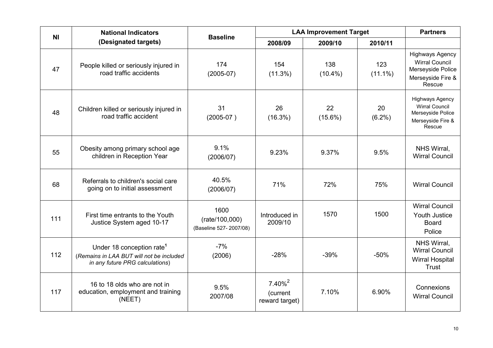| N <sub>1</sub> | <b>National Indicators</b><br><b>Baseline</b>                                                                        |                                                  |                                                     | <b>LAA Improvement Target</b> |                   |                                                                                                     |  |
|----------------|----------------------------------------------------------------------------------------------------------------------|--------------------------------------------------|-----------------------------------------------------|-------------------------------|-------------------|-----------------------------------------------------------------------------------------------------|--|
|                | (Designated targets)                                                                                                 |                                                  | 2008/09                                             | 2009/10                       | 2010/11           |                                                                                                     |  |
| 47             | People killed or seriously injured in<br>road traffic accidents                                                      | 174<br>$(2005-07)$                               | 154<br>$(11.3\%)$                                   | 138<br>$(10.4\%)$             | 123<br>$(11.1\%)$ | <b>Highways Agency</b><br><b>Wirral Council</b><br>Merseyside Police<br>Merseyside Fire &<br>Rescue |  |
| 48             | Children killed or seriously injured in<br>road traffic accident                                                     | 31<br>$(2005-07)$                                | 26<br>(16.3%)                                       | 22<br>$(15.6\%)$              | 20<br>$(6.2\%)$   | <b>Highways Agency</b><br><b>Wirral Council</b><br>Merseyside Police<br>Merseyside Fire &<br>Rescue |  |
| 55             | Obesity among primary school age<br>children in Reception Year                                                       | 9.1%<br>(2006/07)                                | 9.23%                                               | 9.37%                         | 9.5%              | NHS Wirral,<br><b>Wirral Council</b>                                                                |  |
| 68             | Referrals to children's social care<br>going on to initial assessment                                                | 40.5%<br>(2006/07)                               | 71%                                                 | 72%                           | 75%               | <b>Wirral Council</b>                                                                               |  |
| 111            | First time entrants to the Youth<br>Justice System aged 10-17                                                        | 1600<br>(rate/100,000)<br>(Baseline 527-2007/08) | Introduced in<br>2009/10                            | 1570                          | 1500              | <b>Wirral Council</b><br>Youth Justice<br><b>Board</b><br>Police                                    |  |
| 112            | Under 18 conception rate <sup>1</sup><br>(Remains in LAA BUT will not be included<br>in any future PRG calculations) | $-7%$<br>(2006)                                  | $-28%$                                              | $-39%$                        | $-50%$            | NHS Wirral,<br><b>Wirral Council</b><br><b>Wirral Hospital</b><br>Trust                             |  |
| 117            | 16 to 18 olds who are not in<br>education, employment and training<br>(NEET)                                         | 9.5%<br>2007/08                                  | $7.40\%$ <sup>2</sup><br>(current<br>reward target) | 7.10%                         | 6.90%             | Connexions<br><b>Wirral Council</b>                                                                 |  |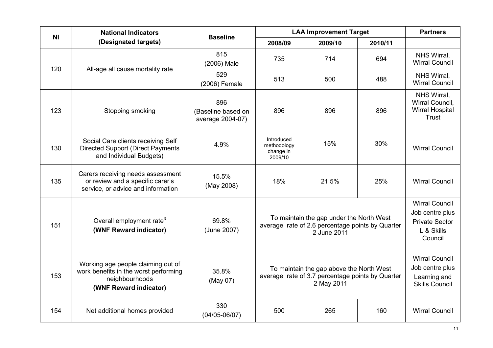| N <sub>l</sub> | <b>National Indicators</b>                                                                                              | <b>Baseline</b>                               | <b>LAA Improvement Target</b>                                                                               |         |         | <b>Partners</b>                                                                            |
|----------------|-------------------------------------------------------------------------------------------------------------------------|-----------------------------------------------|-------------------------------------------------------------------------------------------------------------|---------|---------|--------------------------------------------------------------------------------------------|
|                | (Designated targets)                                                                                                    |                                               | 2008/09                                                                                                     | 2009/10 | 2010/11 |                                                                                            |
| 120            |                                                                                                                         | 815<br>(2006) Male                            | 735                                                                                                         | 714     | 694     | NHS Wirral,<br><b>Wirral Council</b>                                                       |
|                | All-age all cause mortality rate                                                                                        | 529<br>(2006) Female                          | 513                                                                                                         | 500     | 488     | NHS Wirral,<br><b>Wirral Council</b>                                                       |
| 123            | Stopping smoking                                                                                                        | 896<br>(Baseline based on<br>average 2004-07) | 896                                                                                                         | 896     | 896     | NHS Wirral,<br>Wirral Council,<br><b>Wirral Hospital</b><br><b>Trust</b>                   |
| 130            | Social Care clients receiving Self<br><b>Directed Support (Direct Payments</b><br>and Individual Budgets)               | 4.9%                                          | Introduced<br>methodology<br>change in<br>2009/10                                                           | 15%     | 30%     | <b>Wirral Council</b>                                                                      |
| 135            | Carers receiving needs assessment<br>or review and a specific carer's<br>service, or advice and information             | 15.5%<br>(May 2008)                           | 18%                                                                                                         | 21.5%   | 25%     | <b>Wirral Council</b>                                                                      |
| 151            | Overall employment rate <sup>3</sup><br>(WNF Reward indicator)                                                          | 69.8%<br>(June 2007)                          | To maintain the gap under the North West<br>average rate of 2.6 percentage points by Quarter<br>2 June 2011 |         |         | <b>Wirral Council</b><br>Job centre plus<br><b>Private Sector</b><br>L & Skills<br>Council |
| 153            | Working age people claiming out of<br>work benefits in the worst performing<br>neighbourhoods<br>(WNF Reward indicator) | 35.8%<br>(May 07)                             | To maintain the gap above the North West<br>average rate of 3.7 percentage points by Quarter<br>2 May 2011  |         |         | <b>Wirral Council</b><br>Job centre plus<br>Learning and<br><b>Skills Council</b>          |
| 154            | Net additional homes provided                                                                                           | 330<br>$(04/05 - 06/07)$                      | 500                                                                                                         | 265     | 160     | <b>Wirral Council</b>                                                                      |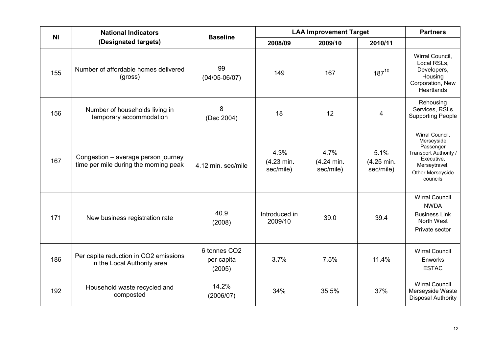| N <sub>1</sub> | <b>National Indicators</b>                                                   |                                                  | <b>LAA Improvement Target</b><br><b>Baseline</b> |                                 |                                 | <b>Partners</b>                                                                                                                    |
|----------------|------------------------------------------------------------------------------|--------------------------------------------------|--------------------------------------------------|---------------------------------|---------------------------------|------------------------------------------------------------------------------------------------------------------------------------|
|                | (Designated targets)                                                         |                                                  | 2008/09                                          | 2009/10                         | 2010/11                         |                                                                                                                                    |
| 155            | Number of affordable homes delivered<br>(gross)                              | 99<br>$(04/05 - 06/07)$                          | 149                                              | 167                             | $187^{10}$                      | Wirral Council,<br>Local RSLs,<br>Developers,<br>Housing<br>Corporation, New<br>Heartlands                                         |
| 156            | Number of households living in<br>temporary accommodation                    | 8<br>(Dec 2004)                                  | 18                                               | 12                              | 4                               | Rehousing<br>Services, RSLs<br><b>Supporting People</b>                                                                            |
| 167            | Congestion - average person journey<br>time per mile during the morning peak | 4.12 min. sec/mile                               | 4.3%<br>(4.23 min.<br>sec/mile)                  | 4.7%<br>(4.24 min.<br>sec/mile) | 5.1%<br>(4.25 min.<br>sec/mile) | Wirral Council,<br>Merseyside<br>Passenger<br>Transport Authority /<br>Executive,<br>Merseytravel,<br>Other Merseyside<br>councils |
| 171            | New business registration rate                                               | 40.9<br>(2008)                                   | Introduced in<br>2009/10                         | 39.0                            | 39.4                            | <b>Wirral Council</b><br><b>NWDA</b><br><b>Business Link</b><br>North West<br>Private sector                                       |
| 186            | Per capita reduction in CO2 emissions<br>in the Local Authority area         | 6 tonnes CO <sub>2</sub><br>per capita<br>(2005) | 3.7%                                             | 7.5%                            | 11.4%                           | <b>Wirral Council</b><br>Enworks<br><b>ESTAC</b>                                                                                   |
| 192            | Household waste recycled and<br>composted                                    | 14.2%<br>(2006/07)                               | 34%                                              | 35.5%                           | 37%                             | <b>Wirral Council</b><br>Merseyside Waste<br><b>Disposal Authority</b>                                                             |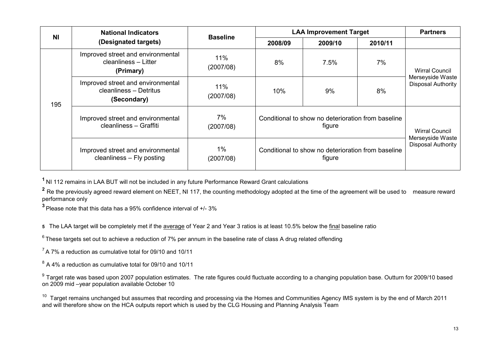| <b>NI</b> | <b>National Indicators</b>                                                 |                    | <b>LAA Improvement Target</b>                      |                                                              |         | <b>Partners</b>                               |  |
|-----------|----------------------------------------------------------------------------|--------------------|----------------------------------------------------|--------------------------------------------------------------|---------|-----------------------------------------------|--|
|           | (Designated targets)                                                       | <b>Baseline</b>    | 2008/09                                            | 2009/10                                                      | 2010/11 |                                               |  |
|           | Improved street and environmental<br>cleanliness - Litter<br>(Primary)     | 11%<br>(2007/08)   | 8%                                                 | 7.5%                                                         | 7%      | Wirral Council                                |  |
| 195       | Improved street and environmental<br>cleanliness - Detritus<br>(Secondary) | 11%<br>(2007/08)   | 10%                                                | 9%                                                           | 8%      | Merseyside Waste<br><b>Disposal Authority</b> |  |
|           | Improved street and environmental<br>cleanliness - Graffiti                | 7%<br>(2007/08)    |                                                    | Conditional to show no deterioration from baseline<br>tigure |         | <b>Wirral Council</b><br>Merseyside Waste     |  |
|           | Improved street and environmental<br>cleanliness - Fly posting             | $1\%$<br>(2007/08) | Conditional to show no deterioration from baseline | <b>Disposal Authority</b>                                    |         |                                               |  |

<sup>1</sup> NI 112 remains in LAA BUT will not be included in any future Performance Reward Grant calculations

 $^2$  Re the previously agreed reward element on NEET, NI 117, the counting methodology adopted at the time of the agreement will be used to measure reward performance only

 $^3$  Please note that this data has a 95% confidence interval of +/- 3%

5 The LAA target will be completely met if the <u>average</u> of Year 2 and Year 3 ratios is at least 10.5% below the <u>final</u> baseline ratio

 $6$  These targets set out to achieve a reduction of 7% per annum in the baseline rate of class A drug related offending

 $<sup>7</sup>$  A 7% a reduction as cumulative total for 09/10 and 10/11</sup>

 $^8$  A 4% a reduction as cumulative total for 09/10 and 10/11

 $^9$  Target rate was based upon 2007 population estimates. The rate figures could fluctuate according to a changing population base. Outturn for 2009/10 based on 2009 mid –year population available October 10

<sup>10</sup> Target remains unchanged but assumes that recording and processing via the Homes and Communities Agency IMS system is by the end of March 2011 and will therefore show on the HCA outputs report which is used by the CLG Housing and Planning Analysis Team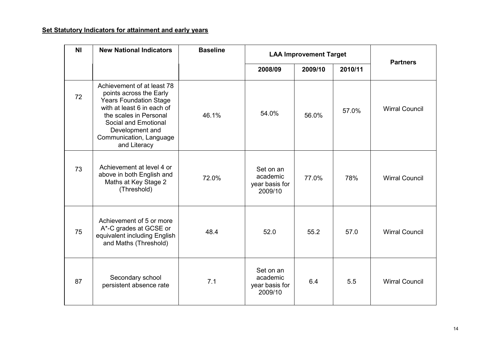#### Set Statutory Indicators for attainment and early years

| <b>NI</b> | <b>New National Indicators</b>                                                                                                                                                                                                       | <b>Baseline</b> | <b>LAA Improvement Target</b>                      |              |         | <b>Partners</b>       |  |
|-----------|--------------------------------------------------------------------------------------------------------------------------------------------------------------------------------------------------------------------------------------|-----------------|----------------------------------------------------|--------------|---------|-----------------------|--|
|           |                                                                                                                                                                                                                                      |                 | 2008/09                                            | 2009/10      | 2010/11 |                       |  |
| 72        | Achievement of at least 78<br>points across the Early<br><b>Years Foundation Stage</b><br>with at least 6 in each of<br>the scales in Personal<br>Social and Emotional<br>Development and<br>Communication, Language<br>and Literacy | 46.1%           | 54.0%                                              | 56.0%        | 57.0%   | <b>Wirral Council</b> |  |
| 73        | Achievement at level 4 or<br>above in both English and<br>Maths at Key Stage 2<br>(Threshold)                                                                                                                                        | 72.0%           | Set on an<br>academic<br>year basis for<br>2009/10 | 77.0%        | 78%     | <b>Wirral Council</b> |  |
| 75        | Achievement of 5 or more<br>A*-C grades at GCSE or<br>equivalent including English<br>and Maths (Threshold)                                                                                                                          | 48.4            | 52.0                                               | 55.2<br>57.0 |         | <b>Wirral Council</b> |  |
| 87        | Secondary school<br>persistent absence rate                                                                                                                                                                                          | 7.1             | Set on an<br>academic<br>year basis for<br>2009/10 | 6.4          | 5.5     | <b>Wirral Council</b> |  |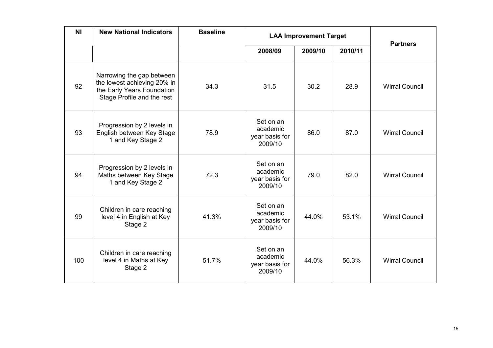| <b>NI</b> | <b>New National Indicators</b>                                                                                       | <b>Baseline</b> | <b>LAA Improvement Target</b>                      |                    |       | <b>Partners</b>       |  |
|-----------|----------------------------------------------------------------------------------------------------------------------|-----------------|----------------------------------------------------|--------------------|-------|-----------------------|--|
|           |                                                                                                                      |                 | 2008/09                                            | 2010/11<br>2009/10 |       |                       |  |
| 92        | Narrowing the gap between<br>the lowest achieving 20% in<br>the Early Years Foundation<br>Stage Profile and the rest | 34.3            | 31.5                                               | 30.2               | 28.9  | <b>Wirral Council</b> |  |
| 93        | Progression by 2 levels in<br>English between Key Stage<br>1 and Key Stage 2                                         | 78.9            | Set on an<br>academic<br>year basis for<br>2009/10 | 86.0<br>87.0       |       | <b>Wirral Council</b> |  |
| 94        | Progression by 2 levels in<br>Maths between Key Stage<br>1 and Key Stage 2                                           | 72.3            | Set on an<br>academic<br>year basis for<br>2009/10 | 79.0               | 82.0  | <b>Wirral Council</b> |  |
| 99        | Children in care reaching<br>level 4 in English at Key<br>Stage 2                                                    | 41.3%           | Set on an<br>academic<br>year basis for<br>2009/10 | 44.0%              | 53.1% | <b>Wirral Council</b> |  |
| 100       | Children in care reaching<br>level 4 in Maths at Key<br>Stage 2                                                      | 51.7%           | Set on an<br>academic<br>year basis for<br>2009/10 | 44.0%              | 56.3% | <b>Wirral Council</b> |  |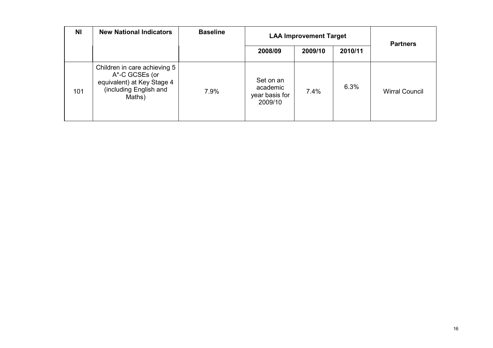| <b>NI</b> | <b>New National Indicators</b>                                                                                   | <b>Baseline</b> | <b>LAA Improvement Target</b>                      |         |         | <b>Partners</b>       |  |
|-----------|------------------------------------------------------------------------------------------------------------------|-----------------|----------------------------------------------------|---------|---------|-----------------------|--|
|           |                                                                                                                  |                 | 2008/09                                            | 2009/10 | 2010/11 |                       |  |
| 101       | Children in care achieving 5<br>A*-C GCSEs (or<br>equivalent) at Key Stage 4<br>(including English and<br>Maths) | 7.9%            | Set on an<br>academic<br>year basis for<br>2009/10 | 7.4%    | 6.3%    | <b>Wirral Council</b> |  |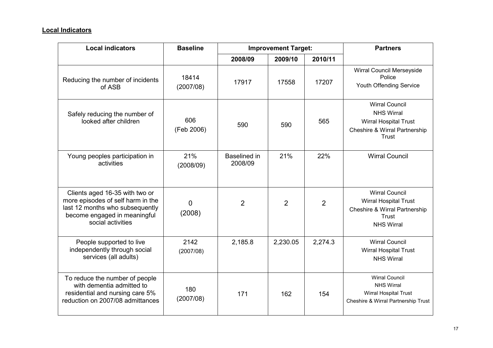#### Local Indicators

| <b>Local indicators</b>                                                                                                                                     | <b>Baseline</b>    |                         | <b>Improvement Target:</b> | <b>Partners</b> |                                                                                                                                        |
|-------------------------------------------------------------------------------------------------------------------------------------------------------------|--------------------|-------------------------|----------------------------|-----------------|----------------------------------------------------------------------------------------------------------------------------------------|
|                                                                                                                                                             |                    | 2008/09                 | 2009/10                    | 2010/11         |                                                                                                                                        |
| Reducing the number of incidents<br>of ASB                                                                                                                  | 18414<br>(2007/08) | 17917                   | 17558                      | 17207           | Wirral Council Merseyside<br>Police<br>Youth Offending Service                                                                         |
| Safely reducing the number of<br>looked after children                                                                                                      | 606<br>(Feb 2006)  | 590                     | 590                        | 565             | <b>Wirral Council</b><br><b>NHS Wirral</b><br>Wirral Hospital Trust<br><b>Cheshire &amp; Wirral Partnership</b><br>Trust               |
| Young peoples participation in<br>activities                                                                                                                | 21%<br>(2008/09)   | Baselined in<br>2008/09 | 21%                        | 22%             | <b>Wirral Council</b>                                                                                                                  |
| Clients aged 16-35 with two or<br>more episodes of self harm in the<br>last 12 months who subsequently<br>become engaged in meaningful<br>social activities | 0<br>(2008)        | $\overline{2}$          | 2                          | $\overline{2}$  | <b>Wirral Council</b><br><b>Wirral Hospital Trust</b><br><b>Cheshire &amp; Wirral Partnership</b><br><b>Trust</b><br><b>NHS Wirral</b> |
| People supported to live<br>independently through social<br>services (all adults)                                                                           | 2142<br>(2007/08)  | 2,185.8                 | 2,230.05                   | 2,274.3         | <b>Wirral Council</b><br><b>Wirral Hospital Trust</b><br><b>NHS Wirral</b>                                                             |
| To reduce the number of people<br>with dementia admitted to<br>residential and nursing care 5%<br>reduction on 2007/08 admittances                          | 180<br>(2007/08)   | 171                     | 162                        | 154             | <b>Wirral Council</b><br><b>NHS Wirral</b><br>Wirral Hospital Trust<br>Cheshire & Wirral Partnership Trust                             |